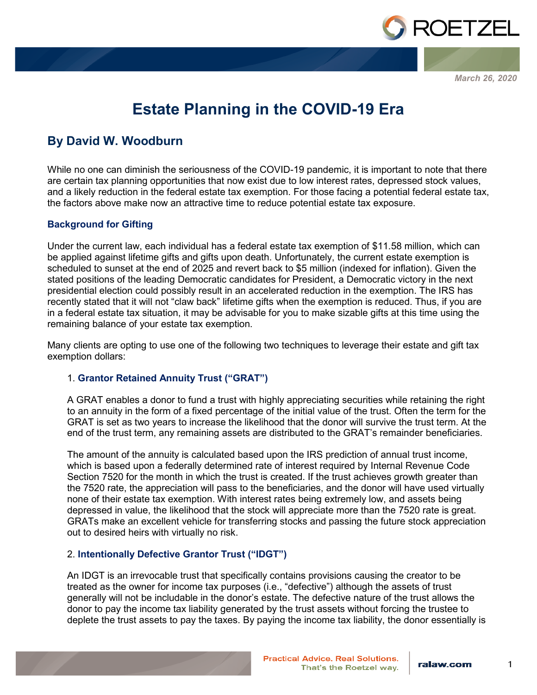

*March 26, 2020*

# **Estate Planning in the COVID-19 Era**

## **By David W. Woodburn**

While no one can diminish the seriousness of the COVID-19 pandemic, it is important to note that there are certain tax planning opportunities that now exist due to low interest rates, depressed stock values, and a likely reduction in the federal estate tax exemption. For those facing a potential federal estate tax, the factors above make now an attractive time to reduce potential estate tax exposure.

#### **Background for Gifting**

Under the current law, each individual has a federal estate tax exemption of \$11.58 million, which can be applied against lifetime gifts and gifts upon death. Unfortunately, the current estate exemption is scheduled to sunset at the end of 2025 and revert back to \$5 million (indexed for inflation). Given the stated positions of the leading Democratic candidates for President, a Democratic victory in the next presidential election could possibly result in an accelerated reduction in the exemption. The IRS has recently stated that it will not "claw back" lifetime gifts when the exemption is reduced. Thus, if you are in a federal estate tax situation, it may be advisable for you to make sizable gifts at this time using the remaining balance of your estate tax exemption.

Many clients are opting to use one of the following two techniques to leverage their estate and gift tax exemption dollars:

#### 1. **Grantor Retained Annuity Trust ("GRAT")**

A GRAT enables a donor to fund a trust with highly appreciating securities while retaining the right to an annuity in the form of a fixed percentage of the initial value of the trust. Often the term for the GRAT is set as two years to increase the likelihood that the donor will survive the trust term. At the end of the trust term, any remaining assets are distributed to the GRAT's remainder beneficiaries.

The amount of the annuity is calculated based upon the IRS prediction of annual trust income, which is based upon a federally determined rate of interest required by Internal Revenue Code Section 7520 for the month in which the trust is created. If the trust achieves growth greater than the 7520 rate, the appreciation will pass to the beneficiaries, and the donor will have used virtually none of their estate tax exemption. With interest rates being extremely low, and assets being depressed in value, the likelihood that the stock will appreciate more than the 7520 rate is great. GRATs make an excellent vehicle for transferring stocks and passing the future stock appreciation out to desired heirs with virtually no risk.

#### 2. **Intentionally Defective Grantor Trust ("IDGT")**

An IDGT is an irrevocable trust that specifically contains provisions causing the creator to be treated as the owner for income tax purposes (i.e., "defective") although the assets of trust generally will not be includable in the donor's estate. The defective nature of the trust allows the donor to pay the income tax liability generated by the trust assets without forcing the trustee to deplete the trust assets to pay the taxes. By paying the income tax liability, the donor essentially is